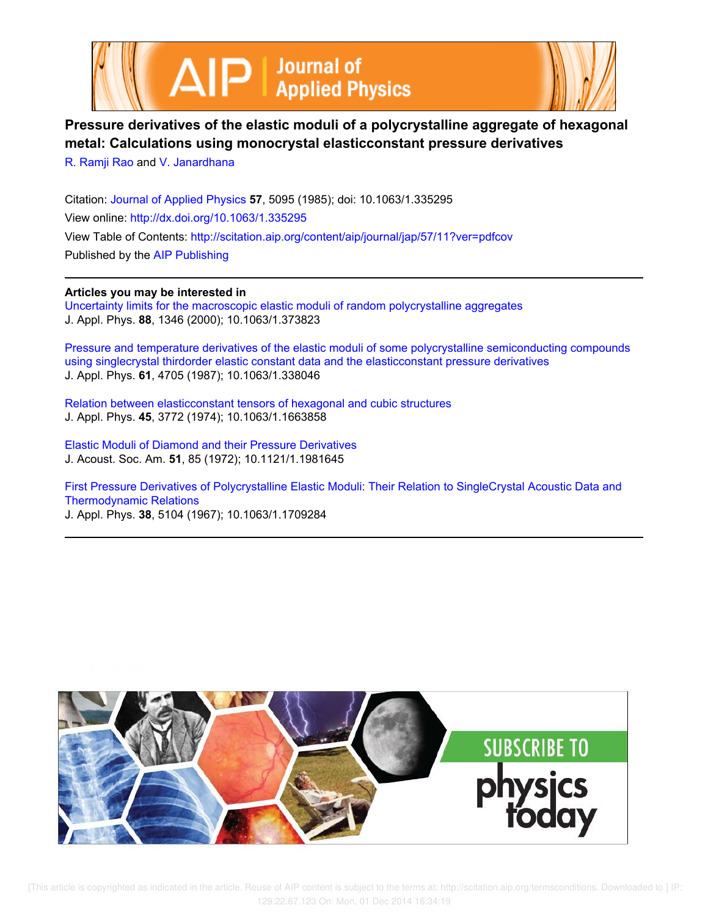



# **Pressure derivatives of the elastic moduli of a polycrystalline aggregate of hexagonal metal: Calculations using monocrystal elasticconstant pressure derivatives**

R. Ramji Rao and V. Janardhana

Citation: Journal of Applied Physics **57**, 5095 (1985); doi: 10.1063/1.335295 View online: http://dx.doi.org/10.1063/1.335295 View Table of Contents: http://scitation.aip.org/content/aip/journal/jap/57/11?ver=pdfcov Published by the AIP Publishing

### **Articles you may be interested in**

Uncertainty limits for the macroscopic elastic moduli of random polycrystalline aggregates J. Appl. Phys. **88**, 1346 (2000); 10.1063/1.373823

Pressure and temperature derivatives of the elastic moduli of some polycrystalline semiconducting compounds using singlecrystal thirdorder elastic constant data and the elasticconstant pressure derivatives J. Appl. Phys. **61**, 4705 (1987); 10.1063/1.338046

Relation between elasticconstant tensors of hexagonal and cubic structures J. Appl. Phys. **45**, 3772 (1974); 10.1063/1.1663858

Elastic Moduli of Diamond and their Pressure Derivatives J. Acoust. Soc. Am. **51**, 85 (1972); 10.1121/1.1981645

First Pressure Derivatives of Polycrystalline Elastic Moduli: Their Relation to SingleCrystal Acoustic Data and Thermodynamic Relations

J. Appl. Phys. **38**, 5104 (1967); 10.1063/1.1709284

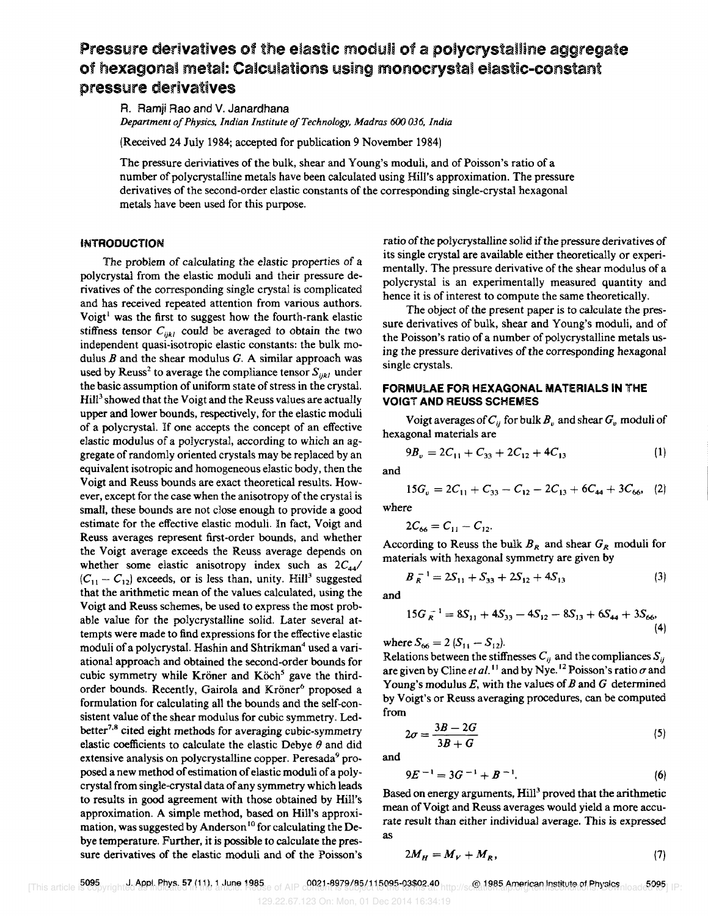## Pressure derivatives of the elastic moduli of a polycrystalline aggregate of hexagonal metal: Calculations using monocrystal elastic-constant pressure derivatives

A. Ramji Rao and V. Janardhana *Department oj Physics. Indian Institute oj Technology, Madras 600 036, India* 

(Received 24 July 1984; accepted for publication 9 November 1984)

The pressure deriviatives of the bulk, shear and Young's moduli, and of Poisson's ratio of a number of poly crystalline metals have been calculated using Hill's approximation. The pressure derivatives of the second-order elastic constants of the corresponding single-crystal hexagonal metals have been used for this purpose.

#### INTRODUCTION

The problem of calculating the elastic properties of a polycrystal from the elastic moduli and their pressure derivatives of the corresponding single crystal is complicated and has received repeated attention from various authors. Voigt<sup>1</sup> was the first to suggest how the fourth-rank elastic stiffness tensor  $C_{ijkl}$  could be averaged to obtain the two independent quasi-isotropic elastic constants: the bulk modulus  $B$  and the shear modulus  $G$ . A similar approach was used by Reuss<sup>2</sup> to average the compliance tensor  $S_{ijkl}$  under the basic assumption of uniform state of stress in the crystal.  $Hil<sup>3</sup>$  showed that the Voigt and the Reuss values are actually upper and lower bounds, respectively, for the elastic moduli of a poly crystal. If one accepts the concept of an effective elastic modulus of a polycrystal, according to which an aggregate of randomly oriented crystals may be replaced by an equivalent isotropic and homogeneous elastic body, then the Voigt and Reuss bounds are exact theoretical results. However, except for the case when the anisotropy of the crystal is small, these bounds are not close enough to provide a good estimate for the effective elastic moduli. In fact, Voigt and Reuss averages represent first-order bounds, and whether the Voigt average exceeds the Reuss average depends on whether some elastic anisotropy index such as 2C*44/*   $(C_{11} - C_{12})$  exceeds, or is less than, unity. Hill<sup>3</sup> suggested that the arithmetic mean of the values calculated, using the Voigt and Reuss schemes, be used to express the most probable value for the polycrystalline solid. Later several attempts were made to find expressions for the effective elastic moduli of a polycrystal. Hashin and Shtrikman<sup>4</sup> used a variational approach and obtained the second-order bounds for cubic symmetry while Kröner and Köch<sup>5</sup> gave the thirdorder bounds. Recently, Gairola and Kröner<sup>6</sup> proposed a formulation for calculating all the bounds and the self-consistent value of the shear modulus for cubic symmetry. Ledbetter<sup>7,8</sup> cited eight methods for averaging cubic-symmetry elastic coefficients to calculate the elastic Debye  $\theta$  and did extensive analysis on polycrystalline copper. Peresada<sup>9</sup> proposed a new method of estimation of elastic moduli of a polycrystal from single-crystal data of any symmetry which leads to results in good agreement with those obtained by Hill's approximation. A simple method, based on Hill's approximation, was suggested by Anderson<sup>10</sup> for calculating the Debye temperature. Further, it is possible to calculate the pressure derivatives of the elastic moduli and of the Poisson's ratio of the polycrystalline solid if the pressure derivatives of its single crystal are available either theoretically or experimentally. The pressure derivative of the shear modulus of a polycrystal is an experimentally measured quantity and hence it is of interest to compute the same theoretically.

The object of the present paper is to calculate the pressure derivatives of bulk, shear and Young's moduli, and of the Poisson's ratio of a number of polycrystalline metals using the pressure derivatives of the corresponding hexagonal single crystals.

#### FORMULAE FOR HEXAGONAL MATERIALS IN THE VOIGT AND REUSS SCHEMES

Voigt averages of  $C_{ii}$  for bulk  $B_{\nu}$  and shear  $G_{\nu}$  moduli of hexagonal materials are

$$
9B_v = 2C_{11} + C_{33} + 2C_{12} + 4C_{13}
$$
 (1)

and

$$
15G_v = 2C_{11} + C_{33} - C_{12} - 2C_{13} + 6C_{44} + 3C_{66}, \quad (2)
$$

where

$$
2C_{66}=C_{11}-C_{12}.
$$

According to Reuss the bulk  $B_R$  and shear  $G_R$  moduli for materials with hexagonal symmetry are given by

$$
B_R^{-1} = 2S_{11} + S_{33} + 2S_{12} + 4S_{13}
$$
 (3)

and

$$
15G_R^{-1} = 8S_{11} + 4S_{33} - 4S_{12} - 8S_{13} + 6S_{44} + 3S_{66},
$$
  
(4)

where  $S_{66} = 2 (S_{11} - S_{12}).$ 

Relations between the stiffnesses  $C_{ii}$  and the compliances  $S_{ii}$ are given by Cline *et al.*<sup>11</sup> and by Nye.<sup>12</sup> Poisson's ratio  $\sigma$  and Young's modulus  $E$ , with the values of  $B$  and  $G$  determined by Voigt's or Reuss averaging procedures, can be computed from

$$
2\sigma = \frac{3B - 2G}{3B + G} \tag{5}
$$

and

$$
9E^{-1} = 3G^{-1} + B^{-1}.
$$
 (6)

Based on energy arguments, Hill<sup>3</sup> proved that the arithmetic mean of Voigt and Reuss averages would yield a more accurate result than either individual average. This is expressed as

$$
2M_H = M_V + M_R, \tag{7}
$$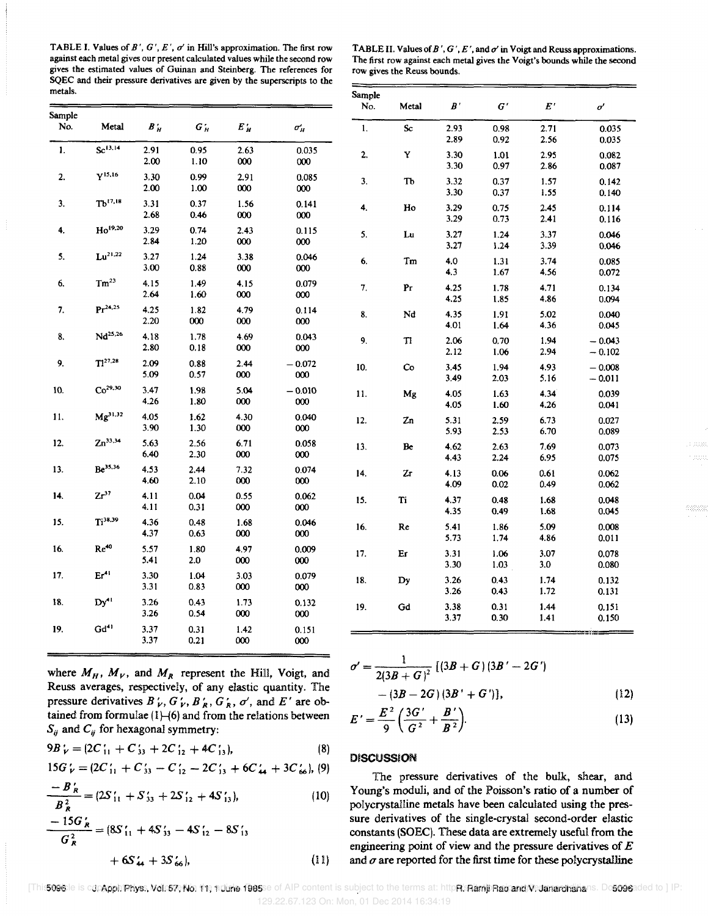TABLE I. Values of  $B'$ ,  $G'$ ,  $E'$ ,  $\sigma'$  in Hill's approximation. The first row against each metal gives our present calculated values while the second row gives the estimated values of Guinan and Steinberg. The references for SQEC and their pressure derivatives are given by the superscripts to the metals. Sample

| TABLE II. Values of B', G', E', and $\sigma'$ in Voigt and Reuss approximations. |
|----------------------------------------------------------------------------------|
| The first row against each metal gives the Voigt's bounds while the second       |
| row gives the Reuss bounds.                                                      |

|               |                     |              |                 |                 | No.              | Metal          | $B^{\prime}$  | $G^{\prime}$ | $E^{\,\prime}$ | $\sigma'$    |                      |
|---------------|---------------------|--------------|-----------------|-----------------|------------------|----------------|---------------|--------------|----------------|--------------|----------------------|
| Sample<br>No. | Metal               | $B'_H$       | $G_H'$          | $E_H^\prime$    | $\sigma_H'$      | $\mathbf{1}$ . | Sc            | 2.93         | 0.98           | 2.71         | 0.035                |
|               |                     |              |                 |                 |                  |                |               | 2.89         | 0.92           | 2.56         | 0.035                |
| 1.            | Sc <sup>13.14</sup> | 2.91<br>2.00 | 0.95<br>1.10    | 2.63<br>000     | 0.035<br>000     | 2.             | Y             | 3.30<br>3.30 | 1.01<br>0.97   | 2.95<br>2.86 | 0.082<br>0.087       |
| 2.            | $Y^{15,16}$         | 3.30<br>2.00 | 0.99<br>1.00    | 2.91<br>000     | 0.085<br>000     | 3.             | TЪ            | 3.32<br>3.30 | 0.37<br>0.37   | 1.57<br>1.55 | 0.142<br>0.140       |
| 3.            | Tb <sup>17,18</sup> | 3.31<br>2.68 | 0.37<br>0.46    | 1.56<br>000     | 0.141<br>000     | 4.             | Ho            | 3.29<br>3.29 | 0.75<br>0.73   | 2.45<br>2.41 | 0.114<br>0.116       |
| 4.            | Ho <sup>19,20</sup> | 3.29<br>2.84 | 0.74<br>1.20    | 2.43<br>$000\,$ | 0.115<br>000     | 5.             | Lu            | 3.27<br>3.27 | 1.24<br>1.24   | 3.37<br>3.39 | 0.046<br>0.046       |
| 5.            | $Lu^{21,22}$        | 3.27<br>3.00 | 1.24<br>0.88    | 3.38<br>000     | 0.046<br>$000\,$ | 6.             | Tm            | 4.0<br>4.3   | 1.31<br>1.67   | 3.74<br>4.56 | 0.085<br>0.072       |
| 6.            | $Tm^{23}$           | 4.15<br>2.64 | 1.49<br>1.60    | 4.15<br>$000\,$ | 0.079<br>000     | 7.             | $\mathbf{Pr}$ | 4.25<br>4.25 | 1.78<br>1.85   | 4.71<br>4.86 | 0.134<br>0.094       |
| 7.            | $Pr^{24,25}$        | 4.25<br>2.20 | 1.82<br>000     | 4.79<br>000     | 0.114<br>000     | 8.             | Nd            | 4.35<br>4.01 | 1.91<br>1.64   | 5.02<br>4.36 | 0.040<br>0.045       |
| 8.            | $Nd^{25,26}$        | 4.18<br>2.80 | 1.78<br>0.18    | 4.69<br>000     | 0.043<br>000     | 9.             | T1            | 2.06<br>2.12 | 0.70<br>1.06   | 1.94<br>2.94 | $-0.043$<br>$-0.102$ |
| 9.            | $T1^{27,28}$        | 2.09<br>5.09 | 0.88<br>0.57    | 2.44<br>000     | $-0.072$<br>000  | 10.            | Co            | 3.45<br>3.49 | 1.94<br>2.03   | 4.93<br>5.16 | $-0.008$<br>$-0.011$ |
| 10.           | $Co^{29,30}$        | 3.47<br>4.26 | 1.98<br>1.80    | 5.04<br>000     | $-0.010$<br>000  | 11.            | Mg            | 4.05<br>4.05 | 1.63<br>1.60   | 4.34<br>4.26 | 0.039<br>0.041       |
| 11.           | $Mg^{31,32}$        | 4.05<br>3.90 | 1.62<br>1.30    | 4.30<br>000     | 0.040<br>000     | 12.            | Zn            | 5.31<br>5.93 | 2.59<br>2.53   | 6.73<br>6.70 | 0.027<br>0.089       |
| 12.           | $Zn^{33,34}$        | 5.63<br>6.40 | 2.56<br>2.30    | 6.71<br>000     | 0.058<br>000     | 13.            | Be            | 4.62<br>4.43 | 2.63<br>2.24   | 7.69<br>6.95 | 0.073<br>0.075       |
| 13.           | Be <sup>35,36</sup> | 4.53<br>4.60 | 2.44<br>2.10    | 7.32<br>000     | 0.074<br>000     | 14.            | Zr            | 4.13<br>4.09 | 0.06<br>0.02   | 0.61<br>0.49 | 0.062<br>0.062       |
| 14.           | $Zr^{37}$           | 4.11<br>4.11 | 0.04<br>0.31    | 0.55<br>000     | 0.062<br>000     | 15.            | Ti            | 4.37<br>4.35 | 0.48<br>0.49   | 1.68<br>1.68 | 0.048<br>0.045       |
| 15.           | Ti <sup>38,39</sup> | 4.36<br>4.37 | 0.48<br>0.63    | 1.68<br>000     | 0.046<br>000     | 16.            | Re            | 5.41<br>5.73 | 1.86<br>1.74   | 5.09<br>4.86 | 0.008<br>0.011       |
| 16.           | Re <sup>40</sup>    | 5.57<br>5.41 | 1.80<br>$2.0\,$ | 4.97<br>000     | 0.009<br>000     | 17.            | Er            | 3.31<br>3.30 | 1.06<br>1.03   | 3.07<br>3.0  | 0.078<br>0.080       |
| 17.           | Er <sup>41</sup>    | 3.30<br>3.31 | 1.04<br>0.83    | 3.03<br>000     | 0.079<br>000     | 18.            | Dy            | 3.26<br>3.26 | 0.43<br>0.43   | 1.74<br>1.72 | 0.132<br>0.131       |
| 18.           | $Dy'^{1}$           | 3.26<br>3.26 | 0.43<br>0.54    | 1.73<br>000     | 0.132<br>000     | 19.            | Gd            | 3.38<br>3.37 | 0.31<br>0.30   | 1.44<br>1.41 | 0.151<br>0.150       |
| 19.           | $Gd^{41}$           | 3.37<br>3.37 | 0.31<br>0.21    | 1.42<br>000     | 0.151<br>000     |                |               |              |                |              |                      |

|      |              |                 |             |                  | No.            | Metal                   | $B^{\prime}$ | $G^{\prime}$ | $E^{\prime}$ | σ                    |
|------|--------------|-----------------|-------------|------------------|----------------|-------------------------|--------------|--------------|--------------|----------------------|
| etal | $B'_H$       | $G_H'$          | $E_H'$      | $\sigma'_H$      | $\mathbf{1}$ . | ${\bf Sc}$              | 2.93<br>2.89 | 0.98<br>0.92 | 2.71<br>2.56 | 0.035<br>0.035       |
| .14  | 2.91<br>2.00 | 0.95<br>1.10    | 2.63<br>000 | 0.035<br>000     | 2.             | Y                       | 3.30<br>3.30 | 1.01<br>0.97 | 2.95<br>2.86 | 0.082<br>0.087       |
| 16   | 3.30<br>2.00 | 0.99<br>1.00    | 2.91<br>000 | 0.085<br>000     | 3.             | Тb                      | 3.32<br>3.30 | 0.37<br>0.37 | 1.57<br>1.55 | 0.142<br>0.140       |
| 7,18 | 3.31<br>2.68 | 0.37<br>0.46    | 1.56<br>000 | 0.141<br>000     | 4.             | Ho                      | 3.29<br>3.29 | 0.75<br>0.73 | 2.45<br>2.41 | 0.114<br>0.116       |
| 9,20 | 3.29<br>2.84 | 0.74<br>1.20    | 2.43<br>000 | 0.115<br>000     | 5.             | Lu                      | 3.27<br>3.27 | 1.24<br>1.24 | 3.37<br>3.39 | 0.046<br>0.046       |
| 1,22 | 3.27<br>3.00 | 1.24<br>0.88    | 3.38<br>000 | 0.046<br>000     | 6.             | Tm                      | 4.0<br>4.3   | 1.31<br>1.67 | 3.74<br>4.56 | 0.085<br>0.072       |
| :3   | 4.15<br>2.64 | 1.49<br>1.60    | 4.15<br>000 | 0.079<br>000     | 7.             | $\mathbf{p}_\mathrm{r}$ | 4.25<br>4.25 | 1.78<br>1.85 | 4.71<br>4.86 | 0.134<br>0.094       |
| ,25  | 4.25<br>2.20 | 1.82<br>000     | 4.79<br>000 | 0.114<br>000     | 8.             | Nd                      | 4.35<br>4.01 | 1.91<br>1.64 | 5.02<br>4.36 | 0.040<br>0.045       |
| 5,26 | 4.18<br>2.80 | 1.78<br>0.18    | 4.69<br>000 | 0.043<br>000     | 9.             | T1                      | 2.06<br>2.12 | 0.70<br>1.06 | 1.94<br>2.94 | $-0.043$<br>$-0.102$ |
| 28   | 2.09<br>5.09 | 0.88<br>0.57    | 2.44<br>000 | $-0.072$<br>000  | 10.            | Co                      | 3,45<br>3.49 | 1.94<br>2.03 | 4.93<br>5.16 | $-0.008$<br>$-0.011$ |
| ,30  | 3.47<br>4.26 | 1.98<br>1.80    | 5.04<br>000 | $-0.010$<br>000  | 11.            | Mg                      | 4.05<br>4.05 | 1.63<br>1.60 | 4.34<br>4.26 | 0.039<br>0.041       |
| 1.32 | 4.05<br>3.90 | 1.62<br>1.30    | 4.30<br>000 | 0.040<br>000     | 12.            | Zn                      | 5.31<br>5.93 | 2.59<br>2.53 | 6.73<br>6.70 | 0.027<br>0.089       |
| 34   | 5.63<br>6.40 | 2.56<br>2.30    | 6.71<br>000 | 0.058<br>000     | 13.            | Be                      | 4.62<br>4.43 | 2.63<br>2.24 | 7.69<br>6.95 | 0.073<br>0.075       |
| .36  | 4.53<br>4.60 | 2.44<br>2.10    | 7.32<br>000 | 0.074<br>$000\,$ | 14.            | Zr                      | 4.13<br>4.09 | 0.06<br>0.02 | 0.61<br>0.49 | 0.062<br>0.062       |
|      | 4.11<br>4.11 | 0.04<br>0.31    | 0.55<br>000 | 0.062<br>000     | 15.            | Ti                      | 4.37<br>4.35 | 0.48<br>0.49 | 1.68<br>1.68 | 0.048<br>0.045       |
| 39   | 4.36<br>4.37 | 0.48<br>0.63    | 1.68<br>000 | 0.046<br>000     | 16.            | Re                      | 5.41<br>5.73 | 1.86<br>1.74 | 5.09<br>4.86 | 0.008<br>0.011       |
|      | 5.57<br>5.41 | 1.80<br>$2.0\,$ | 4.97<br>000 | 0.009<br>000     | 17.            | Er                      | 3.31<br>3.30 | 1.06<br>1.03 | 3.07<br>3.0  | 0.078<br>0.080       |
|      | 3.30<br>3.31 | 1.04<br>0.83    | 3.03<br>000 | 0.079<br>000     | 18.            | Dy                      | 3.26<br>3.26 | 0.43<br>0.43 | 1.74<br>1.72 | 0.132<br>0.131       |
|      | 3.26<br>3.26 | 0.43<br>0.54    | 1.73<br>000 | 0.132<br>000     | 19.            | Gd                      | 3.38<br>3.37 | 0.31<br>0.30 | 1.44<br>1.41 | 0.151<br>0.150       |
|      | 3.37         | 0.31            | 1.42        | 0.151            |                |                         |              |              |              |                      |

defette

where  $M_H$ ,  $M_V$ , and  $M_R$  represent the Hill, Voigt, and  $\sigma$ Reuss averages, respectively, of any elastic quantity. The pressure derivatives  $B'_{V}$ ,  $G'_{V}$ ,  $B'_{R}$ ,  $G'_{R}$ ,  $\sigma'$ , and  $E'$  are obtained from formulae (1)–(6) and from the relations between  $F = E$  $S_{ij}$  and  $C_{ij}$  for hexagonal symmetry:

$$
9B'_{V} = (2C'_{11} + C'_{33} + 2C'_{12} + 4C'_{13}),
$$
\n(8)

$$
15G_V = (2C_{11} + C_{33} - C_{12} - 2C_{13} + 6C_{44} + 3C_{66}^{\prime}), (9)
$$

$$
\frac{-B_R}{B_R^2} = (2S'_{11} + S'_{33} + 2S'_{12} + 4S'_{13}),
$$
\n(10)  
\n
$$
\frac{-15G'_R}{G_R^2} = (8S'_{11} + 4S'_{33} - 4S'_{12} - 8S'_{13})
$$
\n
$$
+ 6S'_{11} + 3S'_{12}
$$
\n(11)

$$
V = \frac{1}{2(3B+G)^2} [(3B+G)(3B'-2G')-(3B-2G)(3B'+G')],
$$
 (12)

$$
E' = \frac{E^2}{9} \left( \frac{3G'}{G^2} + \frac{B'}{B^2} \right).
$$
 (13)

#### **DISCUSSION**

The pressure derivatives of the bulk, shear, and  $B'_R = \beta S'_R = \beta S'_R + \beta S'_L + \beta S'_L$  (10)  $\alpha$  Young's moduli, and of the Poisson's ratio of a number of polycrystalline metals have been calculated using the pres sure derivatives of the single-crystal second-order elastic constants (SOEC). These data are extremely useful from the engineering point of view and the pressure derivatives of *E*   $+ 6S_{44} + 3S_{66}$ , (11) and  $\sigma$  are reported for the first time for these polycrystalline